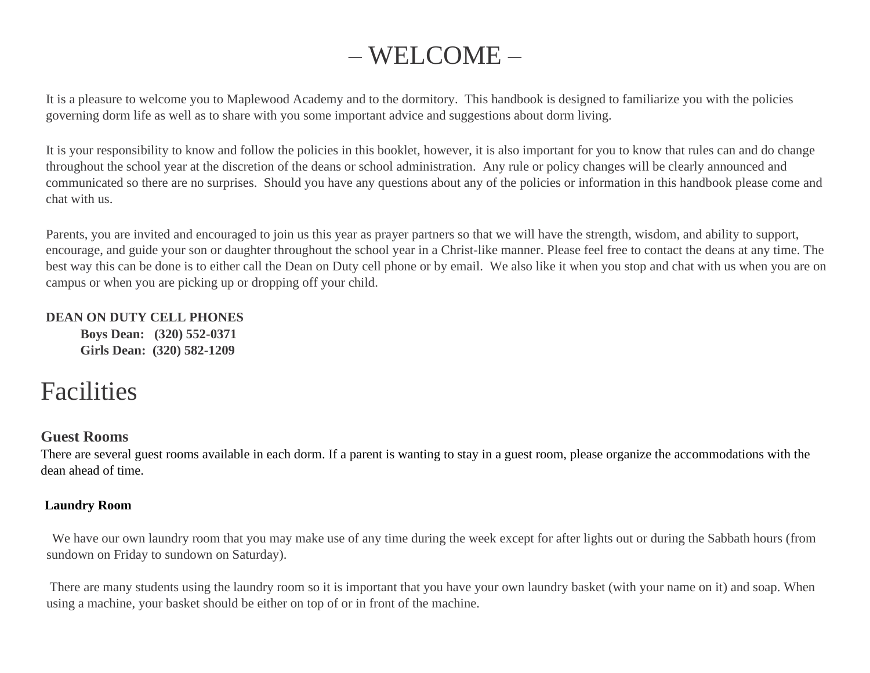# – WELCOME –

It is a pleasure to welcome you to Maplewood Academy and to the dormitory. This handbook is designed to familiarize you with the policies governing dorm life as well as to share with you some important advice and suggestions about dorm living.

It is your responsibility to know and follow the policies in this booklet, however, it is also important for you to know that rules can and do change throughout the school year at the discretion of the deans or school administration. Any rule or policy changes will be clearly announced and communicated so there are no surprises. Should you have any questions about any of the policies or information in this handbook please come and chat with us.

Parents, you are invited and encouraged to join us this year as prayer partners so that we will have the strength, wisdom, and ability to support, encourage, and guide your son or daughter throughout the school year in a Christ-like manner. Please feel free to contact the deans at any time. The best way this can be done is to either call the Dean on Duty cell phone or by email. We also like it when you stop and chat with us when you are on campus or when you are picking up or dropping off your child.

#### **DEAN ON DUTY CELL PHONES**

**Boys Dean: (320) 552-0371 Girls Dean: (320) 582-1209**

# Facilities

# **Guest Rooms**

There are several guest rooms available in each dorm. If a parent is wanting to stay in a guest room, please organize the accommodations with the dean ahead of time.

# **Laundry Room**

We have our own laundry room that you may make use of any time during the week except for after lights out or during the Sabbath hours (from sundown on Friday to sundown on Saturday).

There are many students using the laundry room so it is important that you have your own laundry basket (with your name on it) and soap. When using a machine, your basket should be either on top of or in front of the machine.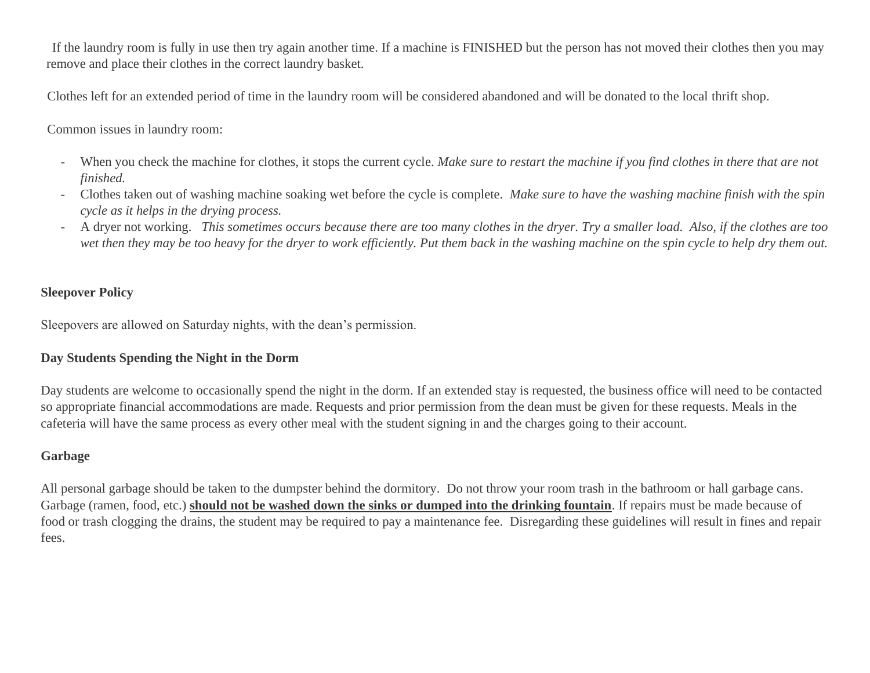If the laundry room is fully in use then try again another time. If a machine is FINISHED but the person has not moved their clothes then you may remove and place their clothes in the correct laundry basket.

Clothes left for an extended period of time in the laundry room will be considered abandoned and will be donated to the local thrift shop.

Common issues in laundry room:

- When you check the machine for clothes, it stops the current cycle. *Make sure to restart the machine if you find clothes in there that are not finished.*
- Clothes taken out of washing machine soaking wet before the cycle is complete. *Make sure to have the washing machine finish with the spin cycle as it helps in the drying process.*
- A dryer not working. *This sometimes occurs because there are too many clothes in the dryer. Try a smaller load. Also, if the clothes are too wet then they may be too heavy for the dryer to work efficiently. Put them back in the washing machine on the spin cycle to help dry them out.*

#### **Sleepover Policy**

Sleepovers are allowed on Saturday nights, with the dean's permission.

#### **Day Students Spending the Night in the Dorm**

Day students are welcome to occasionally spend the night in the dorm. If an extended stay is requested, the business office will need to be contacted so appropriate financial accommodations are made. Requests and prior permission from the dean must be given for these requests. Meals in the cafeteria will have the same process as every other meal with the student signing in and the charges going to their account.

#### **Garbage**

All personal garbage should be taken to the dumpster behind the dormitory. Do not throw your room trash in the bathroom or hall garbage cans. Garbage (ramen, food, etc.) **should not be washed down the sinks or dumped into the drinking fountain**. If repairs must be made because of food or trash clogging the drains, the student may be required to pay a maintenance fee. Disregarding these guidelines will result in fines and repair fees.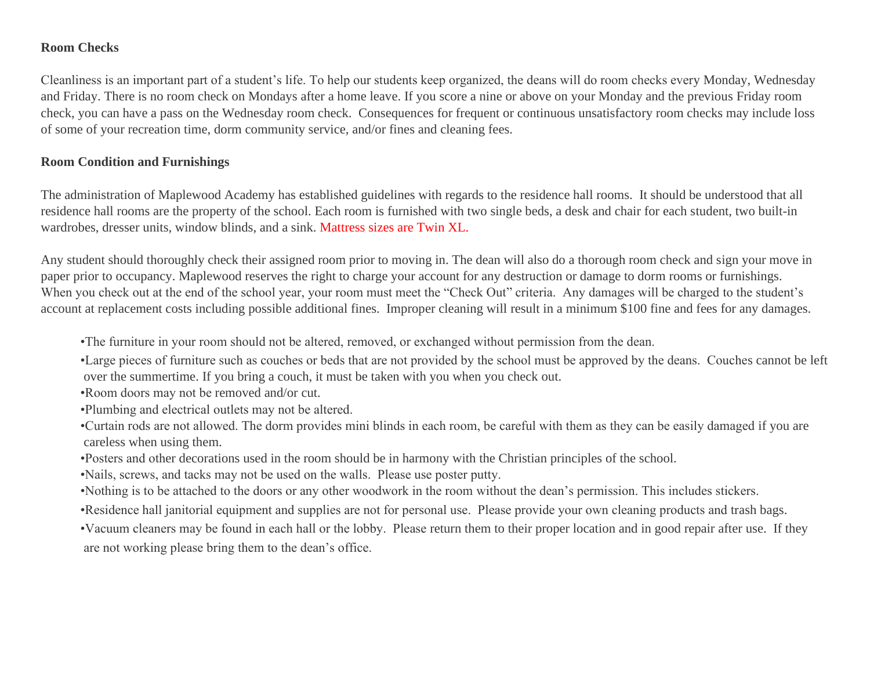#### **Room Checks**

Cleanliness is an important part of a student's life. To help our students keep organized, the deans will do room checks every Monday, Wednesday and Friday. There is no room check on Mondays after a home leave. If you score a nine or above on your Monday and the previous Friday room check, you can have a pass on the Wednesday room check. Consequences for frequent or continuous unsatisfactory room checks may include loss of some of your recreation time, dorm community service, and/or fines and cleaning fees.

#### **Room Condition and Furnishings**

The administration of Maplewood Academy has established guidelines with regards to the residence hall rooms. It should be understood that all residence hall rooms are the property of the school. Each room is furnished with two single beds, a desk and chair for each student, two built-in wardrobes, dresser units, window blinds, and a sink. Mattress sizes are Twin XL.

Any student should thoroughly check their assigned room prior to moving in. The dean will also do a thorough room check and sign your move in paper prior to occupancy. Maplewood reserves the right to charge your account for any destruction or damage to dorm rooms or furnishings. When you check out at the end of the school year, your room must meet the "Check Out" criteria. Any damages will be charged to the student's account at replacement costs including possible additional fines. Improper cleaning will result in a minimum \$100 fine and fees for any damages.

•The furniture in your room should not be altered, removed, or exchanged without permission from the dean.

•Large pieces of furniture such as couches or beds that are not provided by the school must be approved by the deans. Couches cannot be left over the summertime. If you bring a couch, it must be taken with you when you check out.

•Room doors may not be removed and/or cut.

•Plumbing and electrical outlets may not be altered.

•Curtain rods are not allowed. The dorm provides mini blinds in each room, be careful with them as they can be easily damaged if you are careless when using them.

•Posters and other decorations used in the room should be in harmony with the Christian principles of the school.

•Nails, screws, and tacks may not be used on the walls. Please use poster putty.

•Nothing is to be attached to the doors or any other woodwork in the room without the dean's permission. This includes stickers.

•Residence hall janitorial equipment and supplies are not for personal use. Please provide your own cleaning products and trash bags.

•Vacuum cleaners may be found in each hall or the lobby. Please return them to their proper location and in good repair after use. If they are not working please bring them to the dean's office.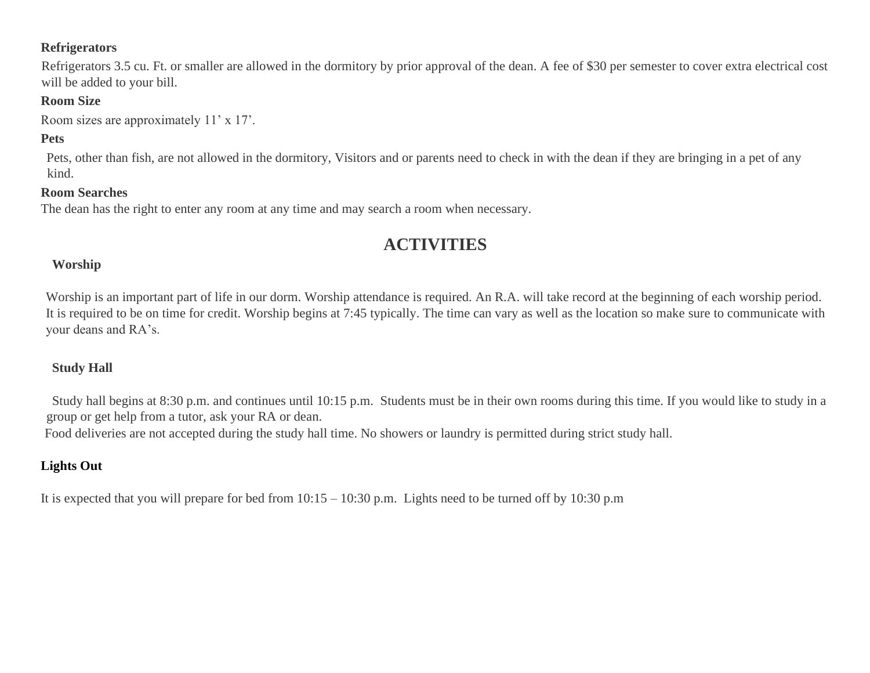#### **Refrigerators**

Refrigerators 3.5 cu. Ft. or smaller are allowed in the dormitory by prior approval of the dean. A fee of \$30 per semester to cover extra electrical cost will be added to your bill.

# **Room Size**

Room sizes are approximately 11' x 17'.

# **Pets**

Pets, other than fish, are not allowed in the dormitory, Visitors and or parents need to check in with the dean if they are bringing in a pet of any kind.

#### **Room Searches**

The dean has the right to enter any room at any time and may search a room when necessary.

# **ACTIVITIES**

#### **Worship**

Worship is an important part of life in our dorm. Worship attendance is required. An R.A. will take record at the beginning of each worship period. It is required to be on time for credit. Worship begins at 7:45 typically. The time can vary as well as the location so make sure to communicate with your deans and RA's.

# **Study Hall**

Study hall begins at 8:30 p.m. and continues until 10:15 p.m. Students must be in their own rooms during this time. If you would like to study in a group or get help from a tutor, ask your RA or dean.

Food deliveries are not accepted during the study hall time. No showers or laundry is permitted during strict study hall.

# **Lights Out**

It is expected that you will prepare for bed from 10:15 – 10:30 p.m. Lights need to be turned off by 10:30 p.m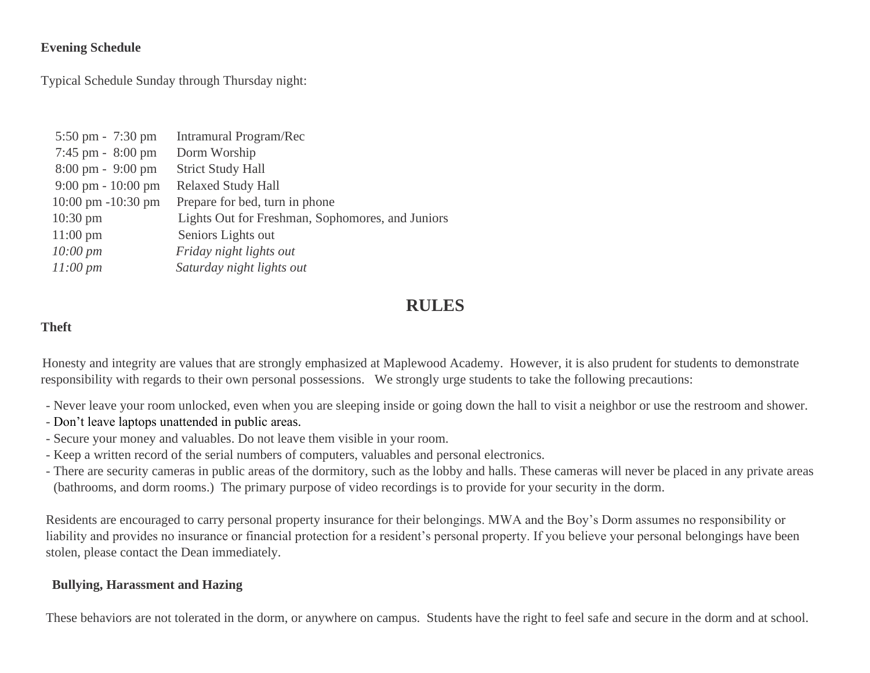#### **Evening Schedule**

Typical Schedule Sunday through Thursday night:

| $5:50 \text{ pm} - 7:30 \text{ pm}$   | Intramural Program/Rec                           |
|---------------------------------------|--------------------------------------------------|
| 7:45 pm - 8:00 pm                     | Dorm Worship                                     |
| $8:00 \text{ pm} - 9:00 \text{ pm}$   | <b>Strict Study Hall</b>                         |
| $9:00 \text{ pm} - 10:00 \text{ pm}$  | <b>Relaxed Study Hall</b>                        |
| $10:00 \text{ pm } -10:30 \text{ pm}$ | Prepare for bed, turn in phone                   |
| $10:30 \text{ pm}$                    | Lights Out for Freshman, Sophomores, and Juniors |
| $11:00 \text{ pm}$                    | Seniors Lights out                               |
| $10:00 \, \text{pm}$                  | Friday night lights out                          |
| $11:00 \, pm$                         | Saturday night lights out                        |
|                                       |                                                  |

# **RULES**

#### **Theft**

Honesty and integrity are values that are strongly emphasized at Maplewood Academy. However, it is also prudent for students to demonstrate responsibility with regards to their own personal possessions. We strongly urge students to take the following precautions:

- Never leave your room unlocked, even when you are sleeping inside or going down the hall to visit a neighbor or use the restroom and shower.
- Don't leave laptops unattended in public areas.
- Secure your money and valuables. Do not leave them visible in your room.
- Keep a written record of the serial numbers of computers, valuables and personal electronics.
- There are security cameras in public areas of the dormitory, such as the lobby and halls. These cameras will never be placed in any private areas (bathrooms, and dorm rooms.) The primary purpose of video recordings is to provide for your security in the dorm.

Residents are encouraged to carry personal property insurance for their belongings. MWA and the Boy's Dorm assumes no responsibility or liability and provides no insurance or financial protection for a resident's personal property. If you believe your personal belongings have been stolen, please contact the Dean immediately.

# **Bullying, Harassment and Hazing**

These behaviors are not tolerated in the dorm, or anywhere on campus. Students have the right to feel safe and secure in the dorm and at school.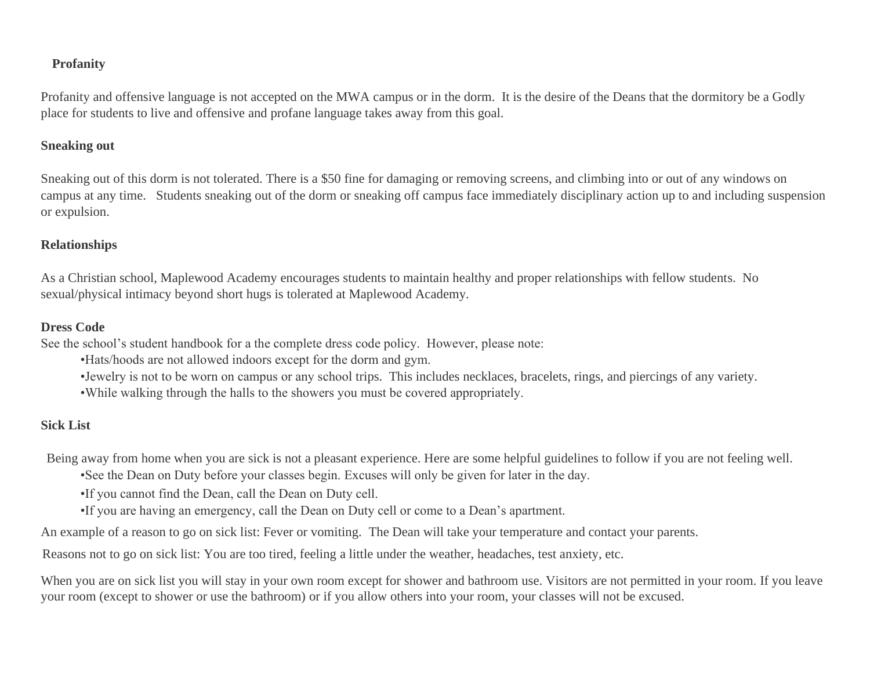#### **Profanity**

Profanity and offensive language is not accepted on the MWA campus or in the dorm. It is the desire of the Deans that the dormitory be a Godly place for students to live and offensive and profane language takes away from this goal.

#### **Sneaking out**

Sneaking out of this dorm is not tolerated. There is a \$50 fine for damaging or removing screens, and climbing into or out of any windows on campus at any time. Students sneaking out of the dorm or sneaking off campus face immediately disciplinary action up to and including suspension or expulsion.

#### **Relationships**

As a Christian school, Maplewood Academy encourages students to maintain healthy and proper relationships with fellow students. No sexual/physical intimacy beyond short hugs is tolerated at Maplewood Academy.

#### **Dress Code**

See the school's student handbook for a the complete dress code policy. However, please note:

•Hats/hoods are not allowed indoors except for the dorm and gym.

- •Jewelry is not to be worn on campus or any school trips. This includes necklaces, bracelets, rings, and piercings of any variety.
- •While walking through the halls to the showers you must be covered appropriately.

#### **Sick List**

Being away from home when you are sick is not a pleasant experience. Here are some helpful guidelines to follow if you are not feeling well.

•See the Dean on Duty before your classes begin. Excuses will only be given for later in the day.

•If you cannot find the Dean, call the Dean on Duty cell.

•If you are having an emergency, call the Dean on Duty cell or come to a Dean's apartment.

An example of a reason to go on sick list: Fever or vomiting. The Dean will take your temperature and contact your parents.

Reasons not to go on sick list: You are too tired, feeling a little under the weather, headaches, test anxiety, etc.

When you are on sick list you will stay in your own room except for shower and bathroom use. Visitors are not permitted in your room. If you leave your room (except to shower or use the bathroom) or if you allow others into your room, your classes will not be excused.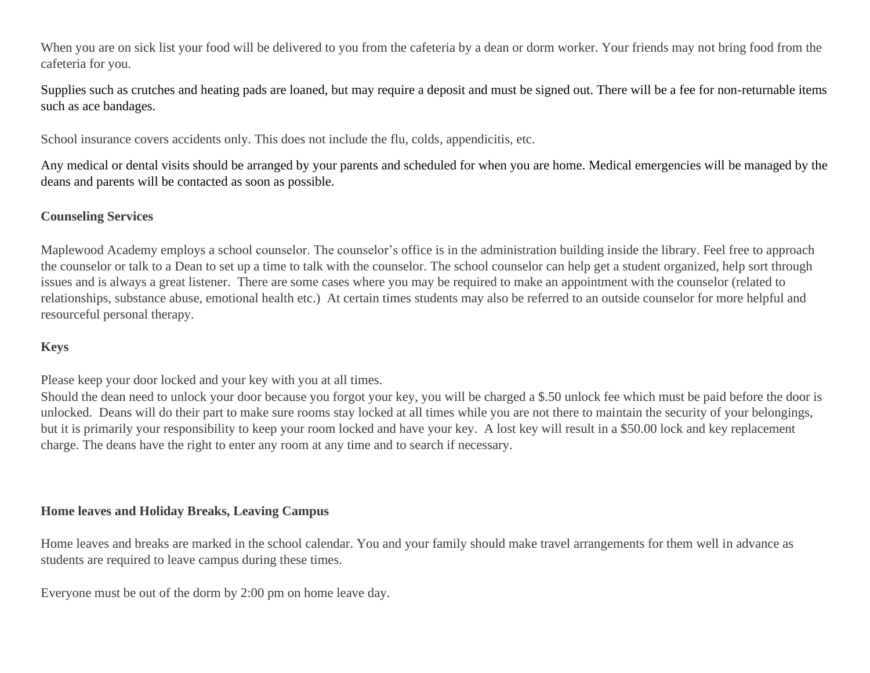When you are on sick list your food will be delivered to you from the cafeteria by a dean or dorm worker. Your friends may not bring food from the cafeteria for you.

Supplies such as crutches and heating pads are loaned, but may require a deposit and must be signed out. There will be a fee for non-returnable items such as ace bandages.

School insurance covers accidents only. This does not include the flu, colds, appendicitis, etc.

Any medical or dental visits should be arranged by your parents and scheduled for when you are home. Medical emergencies will be managed by the deans and parents will be contacted as soon as possible.

#### **Counseling Services**

Maplewood Academy employs a school counselor. The counselor's office is in the administration building inside the library. Feel free to approach the counselor or talk to a Dean to set up a time to talk with the counselor. The school counselor can help get a student organized, help sort through issues and is always a great listener. There are some cases where you may be required to make an appointment with the counselor (related to relationships, substance abuse, emotional health etc.) At certain times students may also be referred to an outside counselor for more helpful and resourceful personal therapy.

# **Keys**

Please keep your door locked and your key with you at all times.

Should the dean need to unlock your door because you forgot your key, you will be charged a \$.50 unlock fee which must be paid before the door is unlocked. Deans will do their part to make sure rooms stay locked at all times while you are not there to maintain the security of your belongings, but it is primarily your responsibility to keep your room locked and have your key. A lost key will result in a \$50.00 lock and key replacement charge. The deans have the right to enter any room at any time and to search if necessary.

#### **Home leaves and Holiday Breaks, Leaving Campus**

Home leaves and breaks are marked in the school calendar. You and your family should make travel arrangements for them well in advance as students are required to leave campus during these times.

Everyone must be out of the dorm by 2:00 pm on home leave day.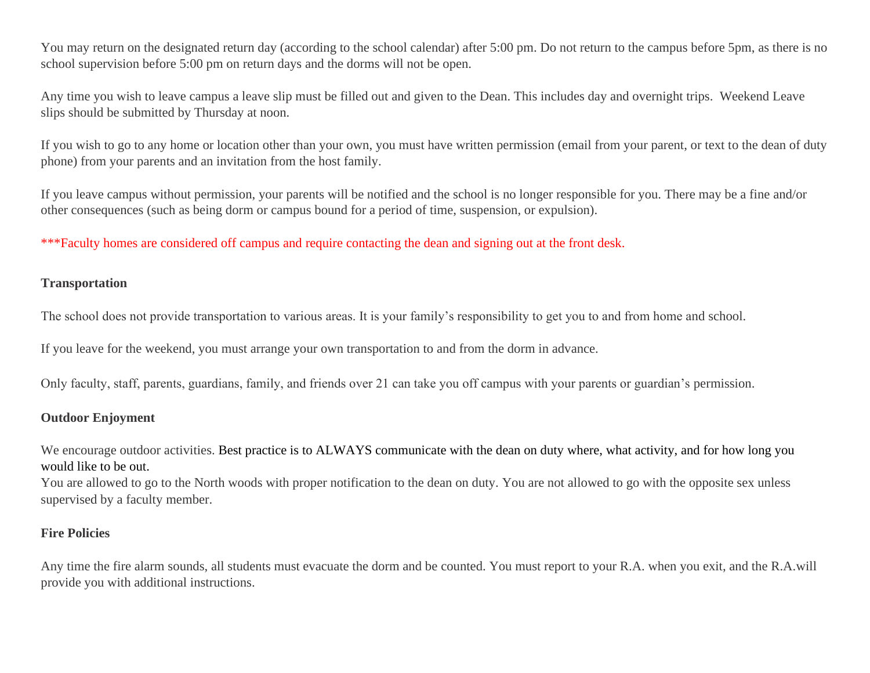You may return on the designated return day (according to the school calendar) after 5:00 pm. Do not return to the campus before 5pm, as there is no school supervision before 5:00 pm on return days and the dorms will not be open.

Any time you wish to leave campus a leave slip must be filled out and given to the Dean. This includes day and overnight trips. Weekend Leave slips should be submitted by Thursday at noon.

If you wish to go to any home or location other than your own, you must have written permission (email from your parent, or text to the dean of duty phone) from your parents and an invitation from the host family.

If you leave campus without permission, your parents will be notified and the school is no longer responsible for you. There may be a fine and/or other consequences (such as being dorm or campus bound for a period of time, suspension, or expulsion).

\*\*\*Faculty homes are considered off campus and require contacting the dean and signing out at the front desk.

#### **Transportation**

The school does not provide transportation to various areas. It is your family's responsibility to get you to and from home and school.

If you leave for the weekend, you must arrange your own transportation to and from the dorm in advance.

Only faculty, staff, parents, guardians, family, and friends over 21 can take you off campus with your parents or guardian's permission.

#### **Outdoor Enjoyment**

We encourage outdoor activities. Best practice is to ALWAYS communicate with the dean on duty where, what activity, and for how long you would like to be out.

You are allowed to go to the North woods with proper notification to the dean on duty. You are not allowed to go with the opposite sex unless supervised by a faculty member.

# **Fire Policies**

Any time the fire alarm sounds, all students must evacuate the dorm and be counted. You must report to your R.A. when you exit, and the R.A.will provide you with additional instructions.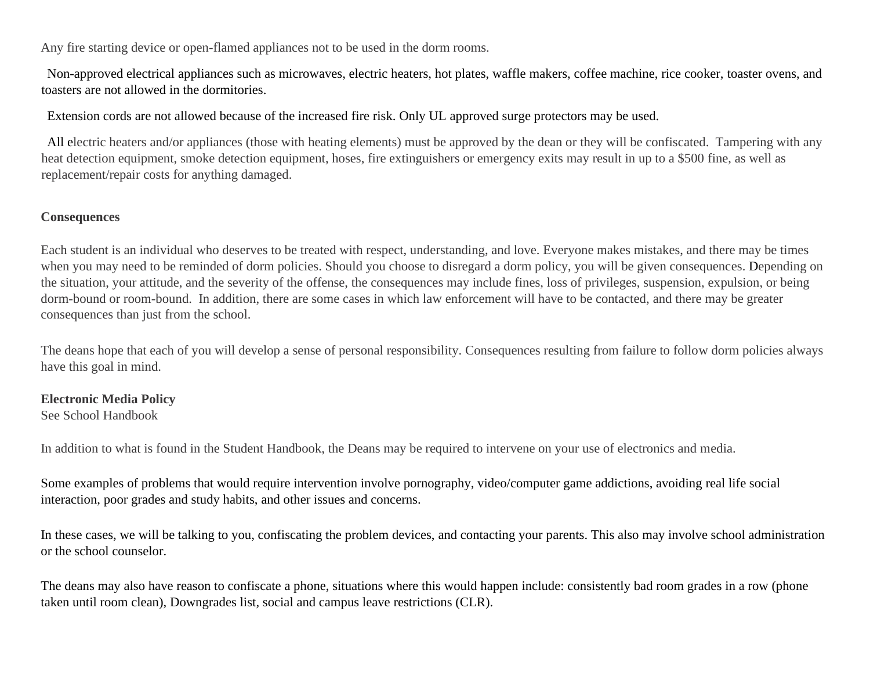Any fire starting device or open-flamed appliances not to be used in the dorm rooms.

Non-approved electrical appliances such as microwaves, electric heaters, hot plates, waffle makers, coffee machine, rice cooker, toaster ovens, and toasters are not allowed in the dormitories.

Extension cords are not allowed because of the increased fire risk. Only UL approved surge protectors may be used.

All electric heaters and/or appliances (those with heating elements) must be approved by the dean or they will be confiscated. Tampering with any heat detection equipment, smoke detection equipment, hoses, fire extinguishers or emergency exits may result in up to a \$500 fine, as well as replacement/repair costs for anything damaged.

# **Consequences**

Each student is an individual who deserves to be treated with respect, understanding, and love. Everyone makes mistakes, and there may be times when you may need to be reminded of dorm policies. Should you choose to disregard a dorm policy, you will be given consequences. Depending on the situation, your attitude, and the severity of the offense, the consequences may include fines, loss of privileges, suspension, expulsion, or being dorm-bound or room-bound. In addition, there are some cases in which law enforcement will have to be contacted, and there may be greater consequences than just from the school.

The deans hope that each of you will develop a sense of personal responsibility. Consequences resulting from failure to follow dorm policies always have this goal in mind.

#### **Electronic Media Policy**

See School Handbook

In addition to what is found in the Student Handbook, the Deans may be required to intervene on your use of electronics and media.

Some examples of problems that would require intervention involve pornography, video/computer game addictions, avoiding real life social interaction, poor grades and study habits, and other issues and concerns.

In these cases, we will be talking to you, confiscating the problem devices, and contacting your parents. This also may involve school administration or the school counselor.

The deans may also have reason to confiscate a phone, situations where this would happen include: consistently bad room grades in a row (phone taken until room clean), Downgrades list, social and campus leave restrictions (CLR).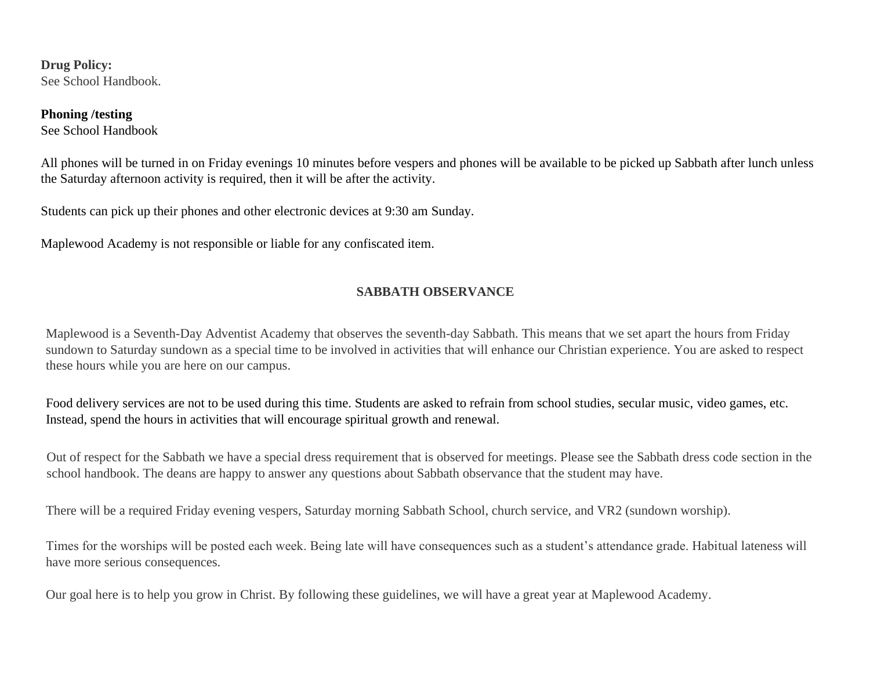**Drug Policy:** See School Handbook.

#### **Phoning /testing**

See School Handbook

All phones will be turned in on Friday evenings 10 minutes before vespers and phones will be available to be picked up Sabbath after lunch unless the Saturday afternoon activity is required, then it will be after the activity.

Students can pick up their phones and other electronic devices at 9:30 am Sunday.

Maplewood Academy is not responsible or liable for any confiscated item.

#### **SABBATH OBSERVANCE**

Maplewood is a Seventh-Day Adventist Academy that observes the seventh-day Sabbath. This means that we set apart the hours from Friday sundown to Saturday sundown as a special time to be involved in activities that will enhance our Christian experience. You are asked to respect these hours while you are here on our campus.

Food delivery services are not to be used during this time. Students are asked to refrain from school studies, secular music, video games, etc. Instead, spend the hours in activities that will encourage spiritual growth and renewal.

Out of respect for the Sabbath we have a special dress requirement that is observed for meetings. Please see the Sabbath dress code section in the school handbook. The deans are happy to answer any questions about Sabbath observance that the student may have.

There will be a required Friday evening vespers, Saturday morning Sabbath School, church service, and VR2 (sundown worship).

Times for the worships will be posted each week. Being late will have consequences such as a student's attendance grade. Habitual lateness will have more serious consequences.

Our goal here is to help you grow in Christ. By following these guidelines, we will have a great year at Maplewood Academy.